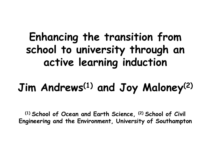#### **Enhancing the transition from school to university through an active learning induction**

#### **Jim Andrews(1) and Joy Maloney(2)**

**(1) School of Ocean and Earth Science, (2) School of Civil Engineering and the Environment, University of Southampton**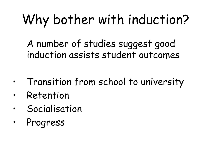## Why bother with induction?

A number of studies suggest good induction assists student outcomes

- Transition from school to university
- Retention
- **Socialisation**
- **Progress**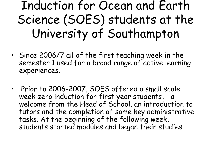### Induction for Ocean and Earth Science (SOES) students at the University of Southampton

- Since 2006/7 all of the first teaching week in the semester 1 used for a broad range of active learning experiences.
- Prior to 2006-2007, SOES offered a small scale week zero induction for first year students, -a welcome from the Head of School, an introduction to tutors and the completion of some key administrative tasks. At the beginning of the following week, students started modules and began their studies.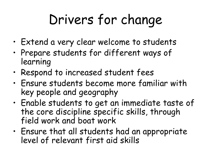## Drivers for change

- Extend a very clear welcome to students
- Prepare students for different ways of learning
- Respond to increased student fees
- Ensure students become more familiar with key people and geography
- Enable students to get an immediate taste of the core discipline specific skills, through field work and boat work
- Ensure that all students had an appropriate level of relevant first aid skills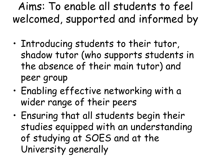#### Aims: To enable all students to feel welcomed, supported and informed by

- Introducing students to their tutor, shadow tutor (who supports students in the absence of their main tutor) and peer group
- Enabling effective networking with a wider range of their peers
- Ensuring that all students begin their studies equipped with an understanding of studying at SOES and at the University generally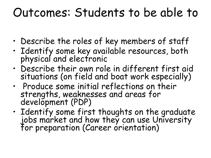### Outcomes: Students to be able to

- Describe the roles of key members of staff
- Identify some key available resources, both physical and electronic
- Describe their own role in different first aid situations (on field and boat work especially)
- Produce some initial reflections on their strengths, weaknesses and areas for development (PDP)
- Identify some first thoughts on the graduate jobs market and how they can use University for preparation (Career orientation)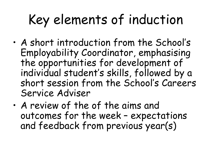## Key elements of induction

- A short introduction from the School's Employability Coordinator, emphasising the opportunities for development of individual student's skills, followed by a short session from the School's Careers Service Adviser
- A review of the of the aims and outcomes for the week – expectations and feedback from previous year(s)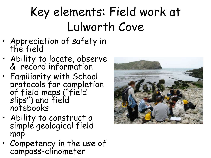### Key elements: Field work at Lulworth Cove

- Appreciation of safety in the field
- Ability to locate, observe & record information
- Familiarity with School protocols for completion of field maps ("field slips") and field notebooks
- Ability to construct a simple geological field map
- Competency in the use of compass-clinometer

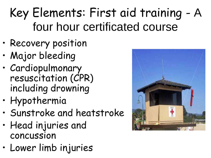### Key Elements: First aid training - A four hour certificated course

- Recovery position
- Major bleeding
- Cardiopulmonary resuscitation (CPR) including drowning
- Hypothermia
- Sunstroke and heatstroke
- Head injuries and concussion
- Lower limb injuries

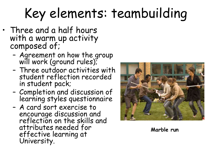# Key elements: teambuilding

- Three and a half hours with a warm up activity composed of;
	- Agreement on how the group will work (ground rules);
	- Three outdoor activities with student reflection recorded in student pack;
	- Completion and discussion of learning styles questionnaire
	- A card sort exercise to encourage discussion and reflection on the skills and attributes needed for effective learning at University.



**Marble run**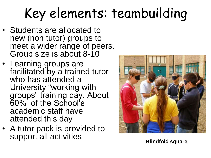# Key elements: teambuilding

- Students are allocated to new (non tutor) groups to meet a wider range of peers. Group size is about 8-10
- Learning groups are facilitated by a trained tutor who has attended a University "working with groups" training day. About 60% of the School's academic staff have attended this day
- A tutor pack is provided to support all activities



**Blindfold square**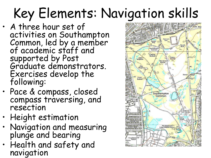# Key Elements: Navigation skills

- A three hour set of activities on Southampton Common, led by a member of academic staff and supported by Post Graduate demonstrators. Exercises develop the following:
- Pace & compass, closed compass traversing, and resection
- Height estimation
- Navigation and measuring plunge and bearing
- Health and safety and navigation

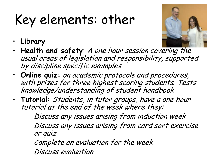## Key elements: other



- **Library**
- **Health and safety**: A one hour session covering the usual areas of legislation and responsibility, supported by discipline specific examples
- **Online quiz:** on academic protocols and procedures, with prizes for three highest scoring students*.* Tests knowledge/understanding of student handbook
- **Tutorial:** Students, in tutor groups, have a one hour tutorial at the end of the week where they:

Discuss any issues arising from induction week Discuss any issues arising from card sort exercise or quiz

Complete an evaluation for the week

Discuss evaluation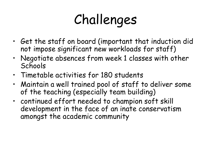## Challenges

- Get the staff on board (important that induction did not impose significant new workloads for staff)
- Negotiate absences from week 1 classes with other **Schools**
- Timetable activities for 180 students
- Maintain a well trained pool of staff to deliver some of the teaching (especially team building)
- continued effort needed to champion soft skill development in the face of an inate conservatism amongst the academic community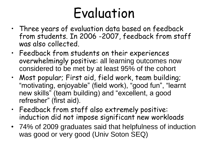## Evaluation

- Three years of evaluation data based on feedback from students. In 2006 -2007, feedback from staff was also collected.
- Feedback from students on their experiences overwhelmingly positive: all learning outcomes now considered to be met by at least 95% of the cohort
- Most popular; First aid, field work, team building; "motivating, enjoyable" (field work), "good fun", "learnt new skills" (team building) and "excellent, a good refresher" (first aid).
- Feedback from staff also extremely positive: induction did not impose significant new workloads
- 74% of 2009 graduates said that helpfulness of induction was good or very good (Univ Soton SEQ)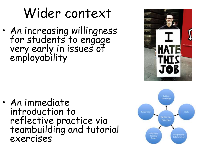### Wider context

• An increasing willingness for students to engage very early in issues of employability

• An immediate introduction to reflective practice via teambuilding and tutorial exercises